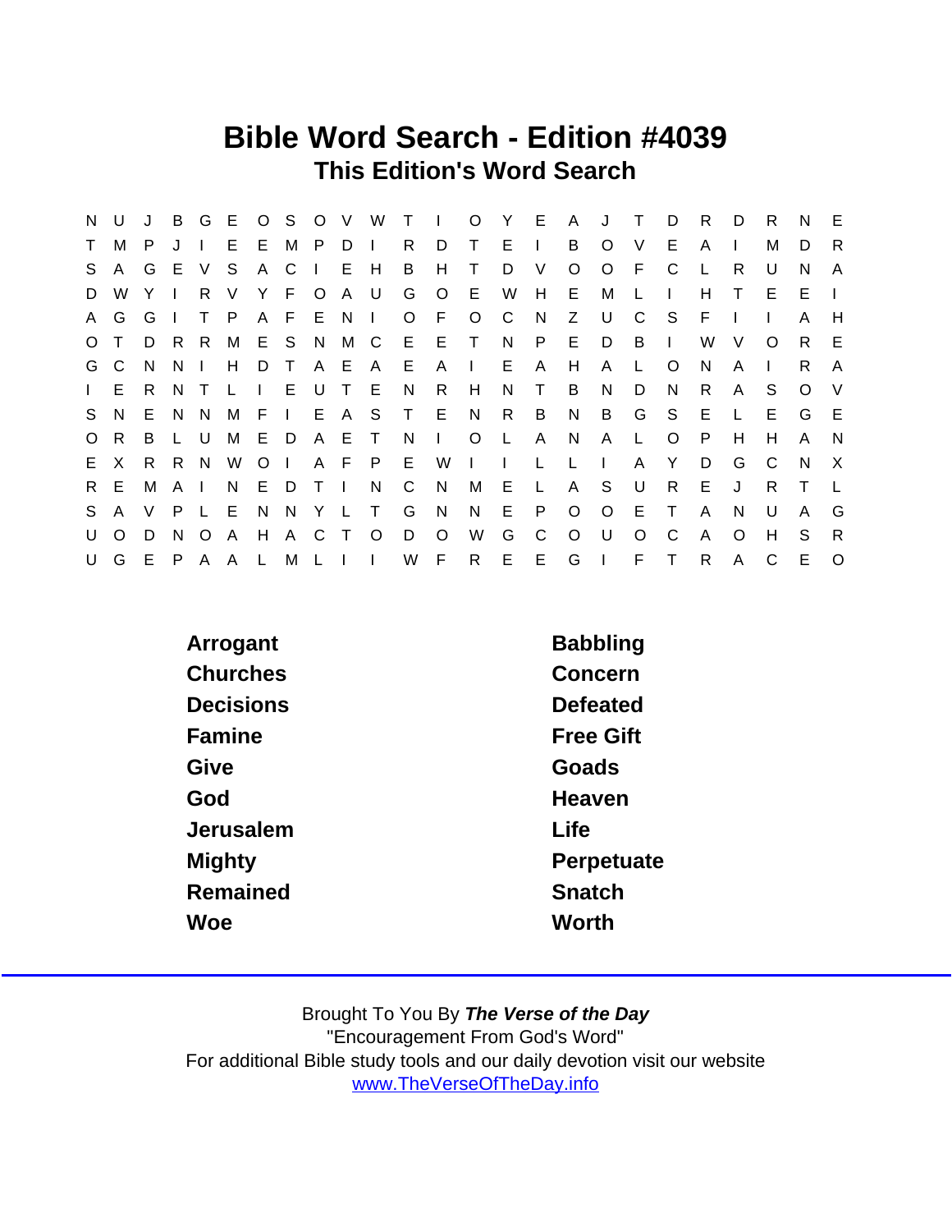## Bible Word Search - Edition #4039 This Edition's Word Search

| N            | U            | J  | B            | G             | E            |              | 0 S     |                |                | V W      | $\top$       | $\Box$       | $\circ$        | Y.           | E.           | A            | J            | Τ       | D            | R.           | D            | R        | N      | E.       |
|--------------|--------------|----|--------------|---------------|--------------|--------------|---------|----------------|----------------|----------|--------------|--------------|----------------|--------------|--------------|--------------|--------------|---------|--------------|--------------|--------------|----------|--------|----------|
| T.           | M            | P. |              |               | E.           | E.           | M P     |                | D              | $\Box$   | R            | D            | Τ              | E            | $\mathbf{I}$ | B            | $\circ$      | V       | E.           | A            |              | м        | D      | R        |
| S.           | $\mathsf{A}$ |    | G E V        |               | S.           | A C          |         | $\blacksquare$ | E H            |          | B            | H            | T              | D            | V            | $\circ$      | $\circ$      | E       | C            |              | R            | U        | N      | A        |
| D            | W            |    |              | R.            | V            | Y.           | F.      | $\circ$        | A U            |          | G            | $\circ$      | E              | W            | H            | E.           | M            |         |              | н            | Τ            | Е        | E      |          |
| A.           | G            | G  |              | T.            | $\mathsf{P}$ |              | A F E   |                | N,             | $\Box$   | O F          |              | $\circ$        | C            | N            | Z.           | U            | C       | S.           | E            |              |          | A      | H        |
| $\circ$      |              | D  | R            | -R            |              |              | M E S N |                | M C            |          | $E$ $E$      |              | $\top$         | N            | P            | E.           | D            | B.      | $\mathbf{L}$ | W            | V            | $\Omega$ | R.     | E        |
|              | G C          | N. | <sub>N</sub> | $\mathcal{A}$ | H            | D            | $\top$  |                | A E A          |          | E            | A            | $\mathbb{R}^n$ | E.           | A            | H            | A            | L       | $\circ$      | N            | A            |          | R.     | A        |
| $\mathbf{L}$ | E.           | R. | N            | $\top$        | L.           | $\mathbf{I}$ |         | E U            | T E            |          | N.           | R            | H              | N            | $\top$       | B            | N            | D       | N.           | R.           | A            | S        | O      | - V      |
| S.           | N.           | E. | N            | <sup>N</sup>  | M            | $F \perp$    |         | E A S          |                |          | T E          |              | N              | R.           | B            | N            | B            | G       | S.           | E            | L.           | E.       | G      | E        |
| $\circ$      | R.           | B  |              | U             | M            | E D          |         | A E            |                | $\top$   | <sub>N</sub> | $\mathbf{L}$ | $\circ$        | L            | $\mathsf{A}$ | <sup>N</sup> | A            | L.      | $\circ$      | P            | H            | H        | A      | N        |
| E.           | $\times$     | R  | R.           | N             | W            | $\circ$      | $\Box$  |                | A F P          |          | E.           | W            | $\mathbf{L}$   | $\mathbf{L}$ | L            | L.           | $\mathbf{I}$ | A       | Y            | D            | G            | C        | N.     | $\times$ |
| R.           | E.           | M  | A            | $\mathbf{I}$  | N.           | E            | D       | $\top$         | $\blacksquare$ | N.       | $\mathsf{C}$ | N,           | М              | E            | L            | A            | S.           | U       | R.           | Е            | J            | R        | $\top$ |          |
| S.           | $\mathsf{A}$ | V  | P            |               | E.           | N            | - N     |                | Y L T          |          | G            | N            | N              | Е            | P            | $\circ$      | $\circ$      | Е       | $\top$       | A            | <sup>N</sup> | U        | A      | G        |
| U            | $\Omega$     | D  | N.           | $\circ$       | $\mathsf{A}$ | H            | A C     |                | $\top$         | $\circ$  | D            | $\circ$      | W              | G            | C            | $\circ$      | U            | $\circ$ | C            | $\mathsf{A}$ | $\circ$      | H        | S.     | R        |
| U            | G            | E  |              |               | P A A L      |              |         | M L I          |                | $\sim 1$ | W F          |              | R.             | $E$ $E$      |              | G I          |              | F       | $\top$       | $\mathsf{R}$ | A            | C        | E      | $\circ$  |

| Arrogant         | <b>Babbling</b>  |
|------------------|------------------|
| Churches         | Concern          |
| <b>Decisions</b> | Defeated         |
| Famine           | <b>Free Gift</b> |
| Give             | Goads            |
| God              | Heaven           |
| Jerusalem        | Life             |
| Mighty           | Perpetuate       |
| Remained         | Snatch           |
| Woe              | Worth            |
|                  |                  |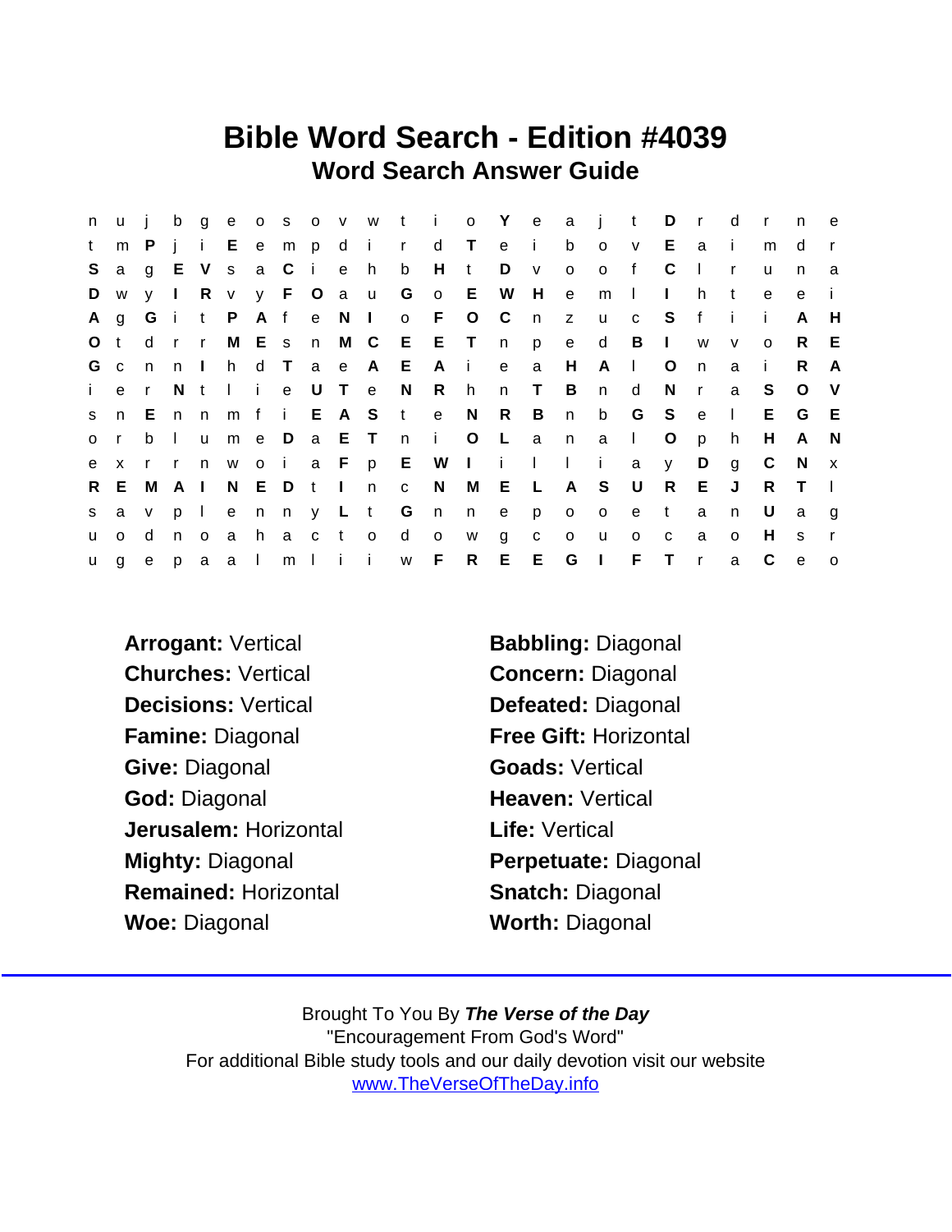## Bible Word Search - Edition #4039 Word Search Answer Guide

| n       | u            | j.           | $\mathbf b$  | g            |                |       |              |           |                  |              |              | e o s o v w t i |              | o Y e        |              |              | a jt           |                            | $D$ r        |              | d            | $\mathsf{r}$ | n            | e            |
|---------|--------------|--------------|--------------|--------------|----------------|-------|--------------|-----------|------------------|--------------|--------------|-----------------|--------------|--------------|--------------|--------------|----------------|----------------------------|--------------|--------------|--------------|--------------|--------------|--------------|
| t       | m            | P            | i.           | $\mathbf{i}$ |                |       | E e m p d i  |           |                  |              | $\mathsf{r}$ | d T             |              | e            | $\mathbf{i}$ | b            | $\circ$        | $\vee$                     | E            | a            | $\mathbf{I}$ | m            | d            |              |
| S       | a            | g            | E            | V            |                | s a C |              | i e       |                  | h            | $\mathsf b$  | H               | $\mathbf{t}$ | D            | V            | $\mathsf{o}$ | $\circ$        | $\mathsf{f}$               | C            | $\mathbf{I}$ | $\mathsf{r}$ | u            | n            | a            |
| D       | W            | y I          |              | R            |                |       | v y F O a u  |           |                  |              | $\mathsf{G}$ | $\mathsf{o}$    | E            | W            | H            | $\mathbf{e}$ | m              | $\Box$                     | $\mathbf{L}$ | h.           | $\mathbf{t}$ | e            | e            | j.           |
| A       | $\mathbf{g}$ | Gi           |              |              | t P            |       | A f          |           | e N I            |              |              | $o$ F           | $O$ $C$      |              | n            | $\mathsf{Z}$ | <b>u</b>       | $\mathbf{C}$               | S.           | f            | -i-          | -i-          | A            | H            |
| $\circ$ | $\mathbf{t}$ | d            | $\mathsf{r}$ | $\mathsf{r}$ |                | M E s |              |           | n M C            |              |              | EET             |              | n            | p            | e            | d              | B                          | $\mathbf{L}$ | W            | $\mathsf{V}$ | $\Omega$     | R.           | E            |
| G c     |              | n            | n.           | $\mathbf{1}$ | h —            |       | d T          |           | a e              | A            | E            | $\mathsf{A}$    | $\sim 1$ .   | $\mathbf{e}$ | a            | H            | A              | $\mathcal{L}^{\text{max}}$ | $\circ$      | n            | a            | -i-          | R            | A            |
| i.      | e            | $\mathsf{r}$ | N.           | t            | $\mathbf{1}$ i |       | $\mathbf{e}$ |           | U T e            |              | N.           | R               | h            | n            | $\top$       | B            | n              | d                          | N            | r            | a            | S.           | $\circ$      | - V          |
| S       | n.           | E.           | n            | n            | m f            |       | $\mathbf{i}$ |           |                  | E A S t      |              | $\mathbf{e}$    | N.           | R            | B            | n            | b              | G                          | S.           | e            | $\Box$       | E.           | G            | E            |
| $\circ$ | $\mathsf{r}$ | b            | $\Box$       | <b>u</b>     | m e            |       | $\Box$       |           | a E T            |              | n i          |                 | $\circ$      | $\mathsf{L}$ | a            | n            | a              | $\mathbf{L}$               | $\circ$      | p            | h.           | H            | $\mathsf{A}$ | - N          |
| e       | $\mathsf{x}$ | $r - r$      |              |              | n woi          |       |              |           | a F              |              |              | p E W I i       |              |              | $\mathbf{I}$ | $\mathbf{L}$ | $\mathbf{i}$   | a                          | y            | D            | g            | C            | - N          | $\mathbf{x}$ |
| R.      | E.           | M            | A            | $\Box$       |                | N E D |              | $t \perp$ |                  | n            | $\mathbf{C}$ | N.              | M            | Е            | $\mathsf{L}$ | A            | S.             | U                          | R            | E.           | J            | R.           | $\top$       | $\perp$      |
| S.      | a            | V            | <b>p</b>     | $\mathbf{L}$ | e              |       | nny Lt       |           |                  |              | G            | n               | n            | e            | <b>p</b>     | $\circ$      | $\circ$        | e                          | $\mathsf{t}$ | a            | n            | U            | a            | g            |
| u.      | $\mathsf{o}$ | d            | n.           | $\circ$      | a              | h.    | a            | c t       |                  | $\mathsf{o}$ | d            | $\mathsf{o}$    | W            | g            | C            | $\mathsf{o}$ | u              | $\mathbf{o}$               | C            | a            | $\circ$      | H.           | S            | $\mathsf{r}$ |
| u       | g            | e            | p.           | $\mathsf{a}$ | a I            |       | m            |           | $\mathbf{I}$ i i |              | W            | F               | R.           | E            | E            | G            | $\blacksquare$ | F.                         | T            | $\mathsf{r}$ | a            | C            | $\mathbf e$  | $\circ$      |

Churches: Vertical Concern: Diagonal Decisions: Vertical Defeated: Diagonal Famine: Diagonal Free Gift: Horizontal Give: Diagonal Goads: Vertical God: Diagonal **Heaven: Vertical** Jerusalem: Horizontal **Life:** Vertical Mighty: Diagonal **Perpetuate: Diagonal** Remained: Horizontal **Snatch: Diagonal** Woe: Diagonal Worth: Diagonal

Arrogant: Vertical Babbling: Diagonal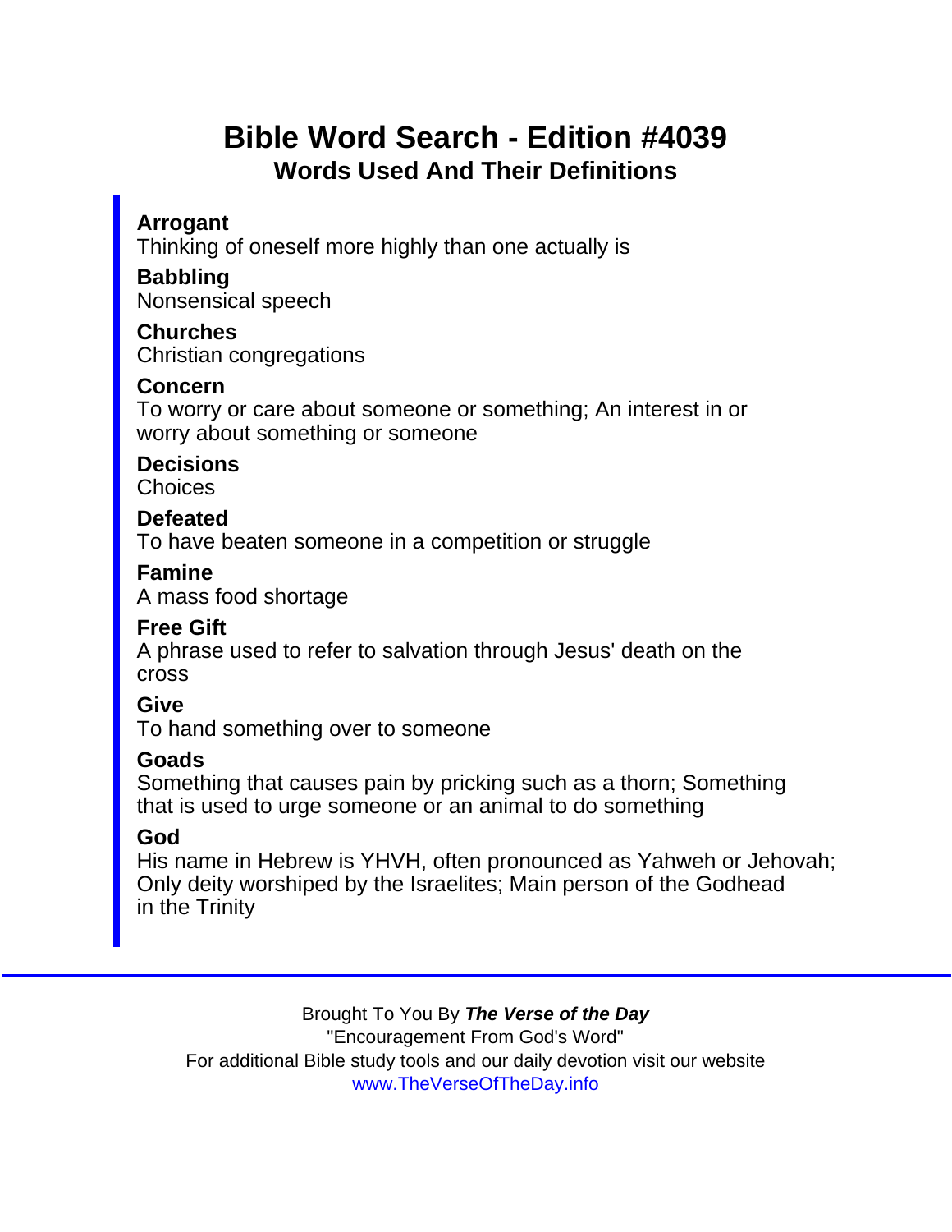# Bible Word Search - Edition #4039 Words Used And Their Definitions

Arrogant

Thinking of oneself more highly than one actually is

Babbling

Nonsensical speech

Churches Christian congregations

Concern

To worry or care about someone or something; An interest in or worry about something or someone

**Decisions Choices** 

Defeated

To have beaten someone in a competition or struggle

Famine

A mass food shortage

Free Gift

A phrase used to refer to salvation through Jesus' death on the cross

Give

To hand something over to someone

Goads

Something that causes pain by pricking such as a thorn; Something that is used to urge someone or an animal to do something

God

His name in Hebrew is YHVH, often pronounced as Yahweh or Jehovah; Only deity worshiped by the Israelites; Main person of the Godhead in the Trinity